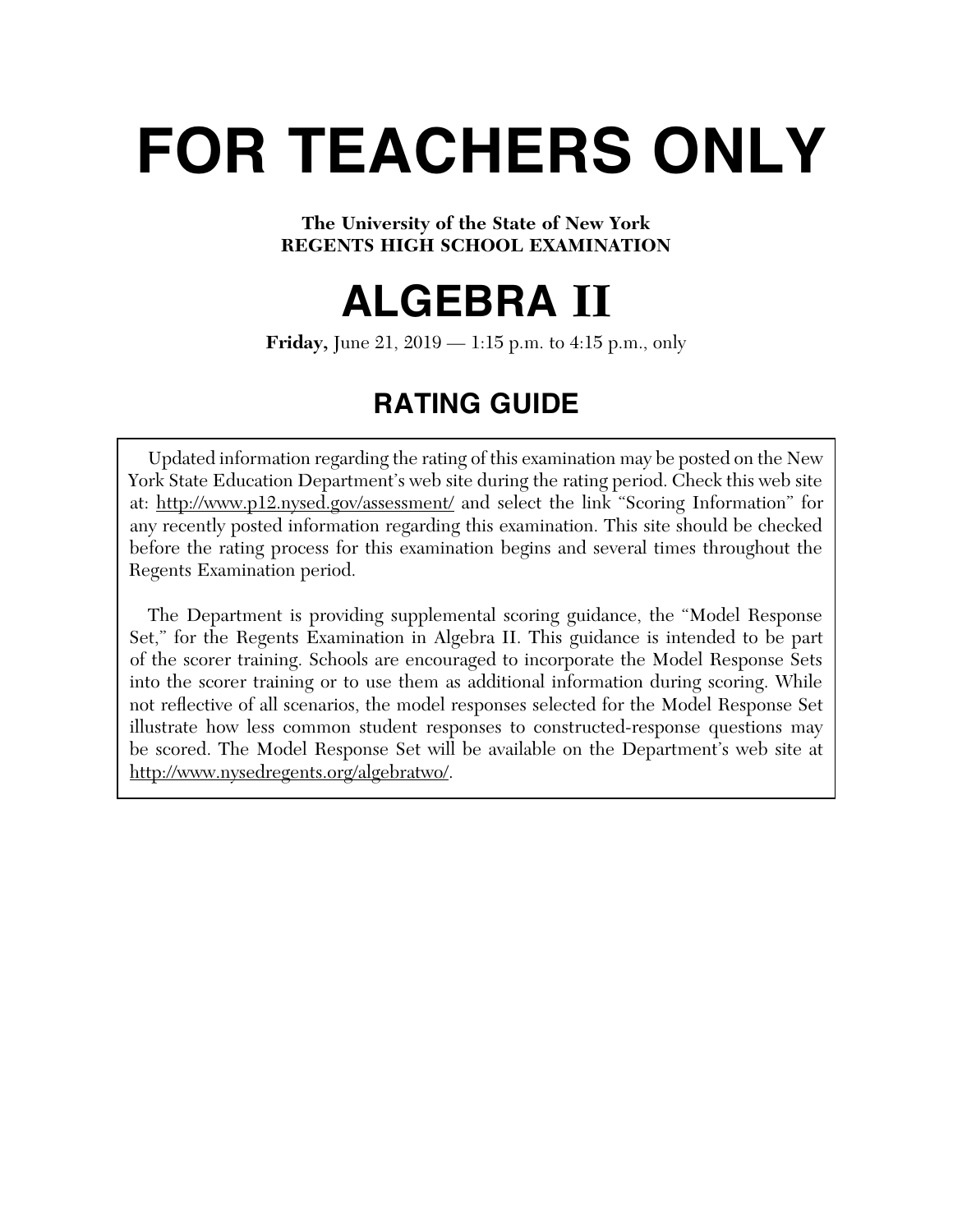# **FOR TEACHERS ONLY**

# **The University of the State of New York REGENTS HIGH SCHOOL EXAMINATION**

# **ALGEBRA II**

**Friday,** June 21, 2019 — 1:15 p.m. to 4:15 p.m., only

# **RATING GUIDE**

Updated information regarding the rating of this examination may be posted on the New York State Education Department's web site during the rating period. Check this web site at: http://www.p12.nysed.gov/assessment/ and select the link "Scoring Information" for any recently posted information regarding this examination. This site should be checked before the rating process for this examination begins and several times throughout the Regents Examination period.

 The Department is providing supplemental scoring guidance, the "Model Response Set," for the Regents Examination in Algebra II. This guidance is intended to be part of the scorer training. Schools are encouraged to incorporate the Model Response Sets into the scorer training or to use them as additional information during scoring. While not reflective of all scenarios, the model responses selected for the Model Response Set illustrate how less common student responses to constructed-response questions may be scored. The Model Response Set will be available on the Department's web site at http://www.nysedregents.org/algebratwo/.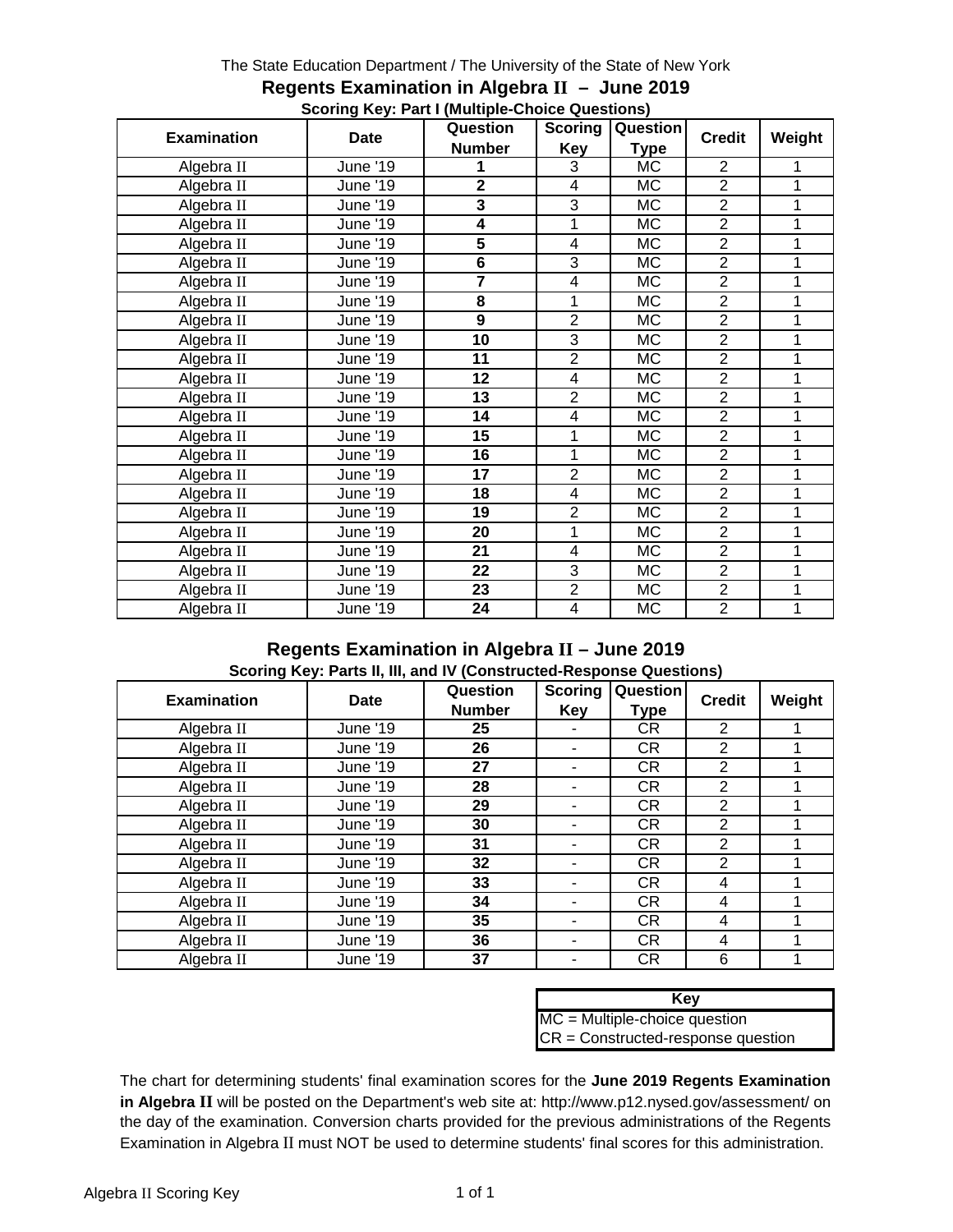#### The State Education Department / The University of the State of New York

|                    | $\frac{1}{2}$   | Question                    | <b>Scoring</b> | Question                     |                |        |
|--------------------|-----------------|-----------------------------|----------------|------------------------------|----------------|--------|
| <b>Examination</b> | Date            | <b>Number</b><br><b>Key</b> |                | <b>Credit</b><br><b>Type</b> |                | Weight |
| Algebra II         | June '19        | 1                           | 3              | МC                           | $\overline{2}$ | 1      |
| Algebra II         | June '19        | $\overline{\mathbf{2}}$     | 4              | <b>MC</b>                    | $\overline{2}$ | 1      |
| Algebra II         | June '19        | $\overline{\mathbf{3}}$     | 3              | <b>MC</b>                    | $\overline{2}$ | 1      |
| Algebra II         | June '19        | 4                           | 1              | МC                           | $\overline{2}$ | 1      |
| Algebra II         | June '19        | $\overline{\mathbf{5}}$     | 4              | МC                           | $\overline{2}$ | 1      |
| Algebra II         | June '19        | $\overline{\mathbf{6}}$     | 3              | <b>MC</b>                    | $\overline{2}$ | 1      |
| Algebra II         | June '19        | 7                           | 4              | МC                           | $\overline{2}$ | 1      |
| Algebra II         | June '19        | 8                           | 1              | МC                           | $\overline{2}$ | 1      |
| Algebra II         | June '19        | 9                           | $\overline{2}$ | <b>MC</b>                    | $\overline{2}$ | 1      |
| Algebra II         | <b>June '19</b> | 10                          | 3              | МC                           | $\overline{2}$ | 1      |
| Algebra II         | June '19        | 11                          | $\overline{2}$ | МC                           | $\overline{2}$ | 1      |
| Algebra II         | June '19        | 12                          | 4              | <b>MC</b>                    | $\overline{2}$ | 1      |
| Algebra II         | June '19        | 13                          | $\overline{2}$ | МC                           | $\overline{2}$ | 1      |
| Algebra II         | June '19        | 14                          | 4              | <b>MC</b>                    | $\overline{2}$ | 1      |
| Algebra II         | June '19        | 15                          | 1              | <b>MC</b>                    | $\overline{2}$ | 1      |
| Algebra II         | <b>June '19</b> | 16                          | 1              | МC                           | $\overline{2}$ | 1      |
| Algebra II         | June '19        | 17                          | $\overline{2}$ | МC                           | $\overline{2}$ | 1      |
| Algebra II         | June '19        | 18                          | 4              | МC                           | $\overline{2}$ | 1      |
| Algebra II         | <b>June '19</b> | 19                          | $\overline{c}$ | <b>MC</b>                    | $\overline{2}$ | 1      |
| Algebra II         | June '19        | 20                          | 1              | <b>MC</b>                    | $\overline{2}$ | 1      |
| Algebra II         | <b>June '19</b> | 21                          | 4              | МC                           | $\overline{2}$ | 1      |
| Algebra II         | <b>June '19</b> | 22                          | 3              | МC                           | $\overline{2}$ | 1      |
| Algebra II         | June '19        | 23                          | $\overline{2}$ | МC                           | $\overline{2}$ | 1      |
| Algebra II         | <b>June '19</b> | 24                          | $\overline{4}$ | МC                           | $\overline{2}$ | 1      |

#### **Regents Examination in Algebra II – June 2019 Scoring Key: Part I (Multiple-Choice Questions)**

#### **Regents Examination in Algebra II – June 2019 Scoring Key: Parts II, III, and IV (Constructed-Response Questions)**

| <b>Examination</b> | Date     | Question<br><b>Number</b> | <b>Scoring</b><br>Key | Question<br>Type | <b>Credit</b>  | Weight |
|--------------------|----------|---------------------------|-----------------------|------------------|----------------|--------|
| Algebra II         | June '19 | 25                        |                       | CR               | $\overline{2}$ |        |
| Algebra II         | June '19 | 26                        |                       | <b>CR</b>        | $\overline{2}$ |        |
| Algebra II         | June '19 | 27                        |                       | <b>CR</b>        | $\overline{2}$ |        |
| Algebra II         | June '19 | 28                        |                       | <b>CR</b>        | $\overline{2}$ |        |
| Algebra II         | June '19 | 29                        |                       | <b>CR</b>        | $\overline{2}$ |        |
| Algebra II         | June '19 | 30                        |                       | <b>CR</b>        | $\overline{2}$ |        |
| Algebra II         | June '19 | 31                        |                       | <b>CR</b>        | $\overline{2}$ |        |
| Algebra II         | June '19 | 32                        |                       | <b>CR</b>        | $\overline{2}$ |        |
| Algebra II         | June '19 | 33                        |                       | <b>CR</b>        | 4              |        |
| Algebra II         | June '19 | 34                        |                       | <b>CR</b>        | 4              |        |
| Algebra II         | June '19 | 35                        |                       | <b>CR</b>        | 4              |        |
| Algebra II         | June '19 | 36                        |                       | <b>CR</b>        | 4              |        |
| Algebra II         | June '19 | 37                        |                       | <b>CR</b>        | 6              |        |

| Kev                                  |
|--------------------------------------|
| $MC = Multiple-choice question$      |
| $CR = Constructed-response question$ |

The chart for determining students' final examination scores for the **June 2019 Regents Examination in Algebra II** will be posted on the Department's web site at: http://www.p12.nysed.gov/assessment/ on the day of the examination. Conversion charts provided for the previous administrations of the Regents Examination in Algebra II must NOT be used to determine students' final scores for this administration.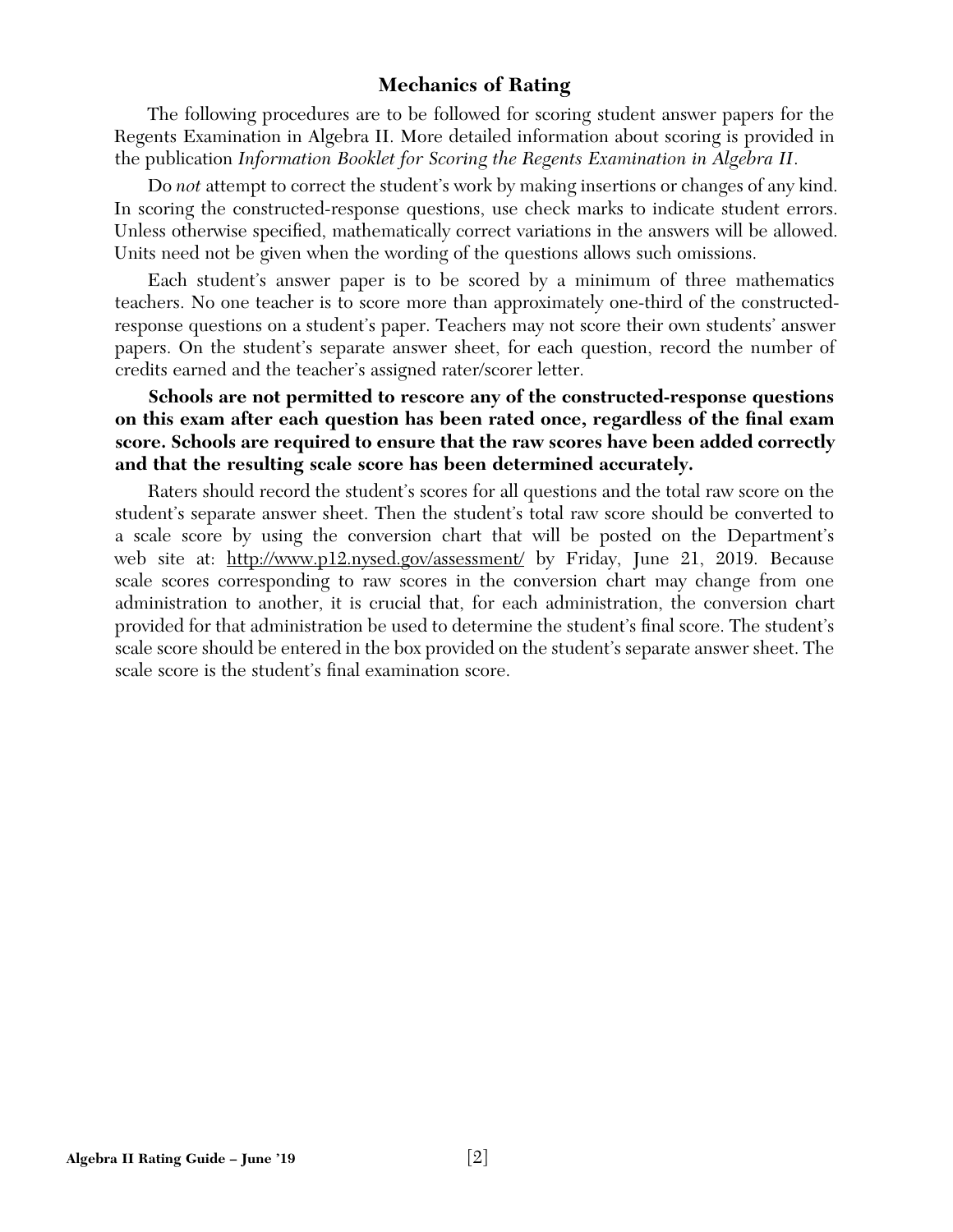# **Mechanics of Rating**

The following procedures are to be followed for scoring student answer papers for the Regents Examination in Algebra II. More detailed information about scoring is provided in the publication *Information Booklet for Scoring the Regents Examination in Algebra II*.

Do *not* attempt to correct the student's work by making insertions or changes of any kind. In scoring the constructed-response questions, use check marks to indicate student errors. Unless otherwise specified, mathematically correct variations in the answers will be allowed. Units need not be given when the wording of the questions allows such omissions.

Each student's answer paper is to be scored by a minimum of three mathematics teachers. No one teacher is to score more than approximately one-third of the constructedresponse questions on a student's paper. Teachers may not score their own students' answer papers. On the student's separate answer sheet, for each question, record the number of credits earned and the teacher's assigned rater/scorer letter.

**Schools are not permitted to rescore any of the constructed-response questions**  on this exam after each question has been rated once, regardless of the final exam **score. Schools are required to ensure that the raw scores have been added correctly and that the resulting scale score has been determined accurately.**

Raters should record the student's scores for all questions and the total raw score on the student's separate answer sheet. Then the student's total raw score should be converted to a scale score by using the conversion chart that will be posted on the Department's web site at: http://www.p12.nysed.gov/assessment/ by Friday, June 21, 2019. Because scale scores corresponding to raw scores in the conversion chart may change from one administration to another, it is crucial that, for each administration, the conversion chart provided for that administration be used to determine the student's final score. The student's scale score should be entered in the box provided on the student's separate answer sheet. The scale score is the student's final examination score.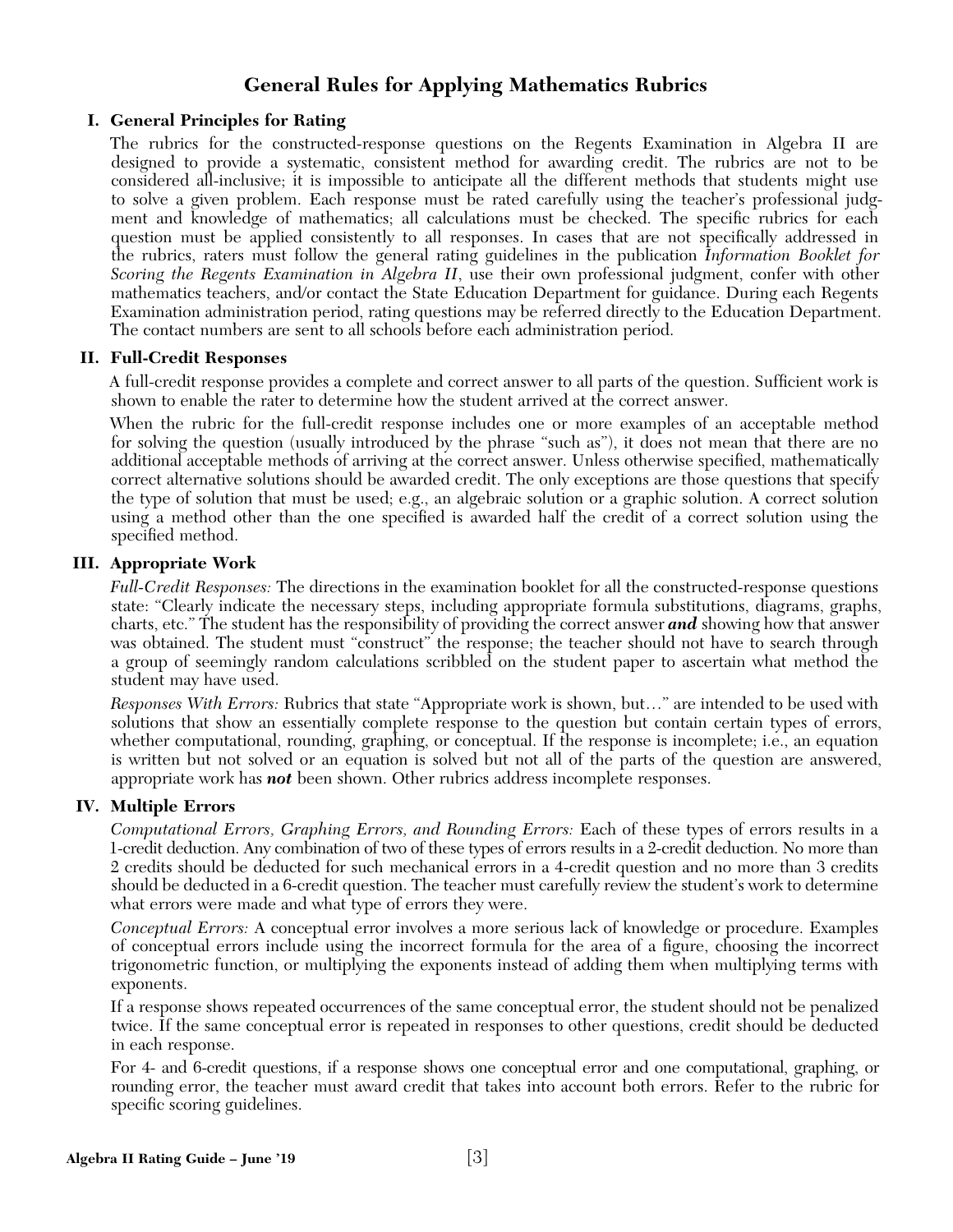# **General Rules for Applying Mathematics Rubrics**

## **I. General Principles for Rating**

The rubrics for the constructed-response questions on the Regents Examination in Algebra II are designed to provide a systematic, consistent method for awarding credit. The rubrics are not to be considered all-inclusive; it is impossible to anticipate all the different methods that students might use to solve a given problem. Each response must be rated carefully using the teacher's professional judgment and knowledge of mathematics; all calculations must be checked. The specific rubrics for each question must be applied consistently to all responses. In cases that are not specifically addressed in the rubrics, raters must follow the general rating guidelines in the publication *Information Booklet for Scoring the Regents Examination in Algebra II*, use their own professional judgment, confer with other mathematics teachers, and/or contact the State Education Department for guidance. During each Regents Examination administration period, rating questions may be referred directly to the Education Department. The contact numbers are sent to all schools before each administration period.

#### **II. Full-Credit Responses**

A full-credit response provides a complete and correct answer to all parts of the question. Sufficient work is shown to enable the rater to determine how the student arrived at the correct answer.

When the rubric for the full-credit response includes one or more examples of an acceptable method for solving the question (usually introduced by the phrase "such as"), it does not mean that there are no additional acceptable methods of arriving at the correct answer. Unless otherwise specified, mathematically correct alternative solutions should be awarded credit. The only exceptions are those questions that specify the type of solution that must be used; e.g., an algebraic solution or a graphic solution. A correct solution using a method other than the one specified is awarded half the credit of a correct solution using the specified method.

#### **III. Appropriate Work**

*Full-Credit Responses:* The directions in the examination booklet for all the constructed-response questions state: "Clearly indicate the necessary steps, including appropriate formula substitutions, diagrams, graphs, charts, etc." The student has the responsibility of providing the correct answer *and* showing how that answer was obtained. The student must "construct" the response; the teacher should not have to search through a group of seemingly random calculations scribbled on the student paper to ascertain what method the student may have used.

*Responses With Errors:* Rubrics that state "Appropriate work is shown, but…" are intended to be used with solutions that show an essentially complete response to the question but contain certain types of errors, whether computational, rounding, graphing, or conceptual. If the response is incomplete; i.e., an equation is written but not solved or an equation is solved but not all of the parts of the question are answered, appropriate work has *not* been shown. Other rubrics address incomplete responses.

#### **IV. Multiple Errors**

*Computational Errors, Graphing Errors, and Rounding Errors:* Each of these types of errors results in a 1-credit deduction. Any combination of two of these types of errors results in a 2-credit deduction. No more than 2 credits should be deducted for such mechanical errors in a 4-credit question and no more than 3 credits should be deducted in a 6-credit question. The teacher must carefully review the student's work to determine what errors were made and what type of errors they were.

*Conceptual Errors:* A conceptual error involves a more serious lack of knowledge or procedure. Examples of conceptual errors include using the incorrect formula for the area of a figure, choosing the incorrect trigonometric function, or multiplying the exponents instead of adding them when multiplying terms with exponents.

If a response shows repeated occurrences of the same conceptual error, the student should not be penalized twice. If the same conceptual error is repeated in responses to other questions, credit should be deducted in each response.

For 4- and 6-credit questions, if a response shows one conceptual error and one computational, graphing, or rounding error, the teacher must award credit that takes into account both errors. Refer to the rubric for specific scoring guidelines.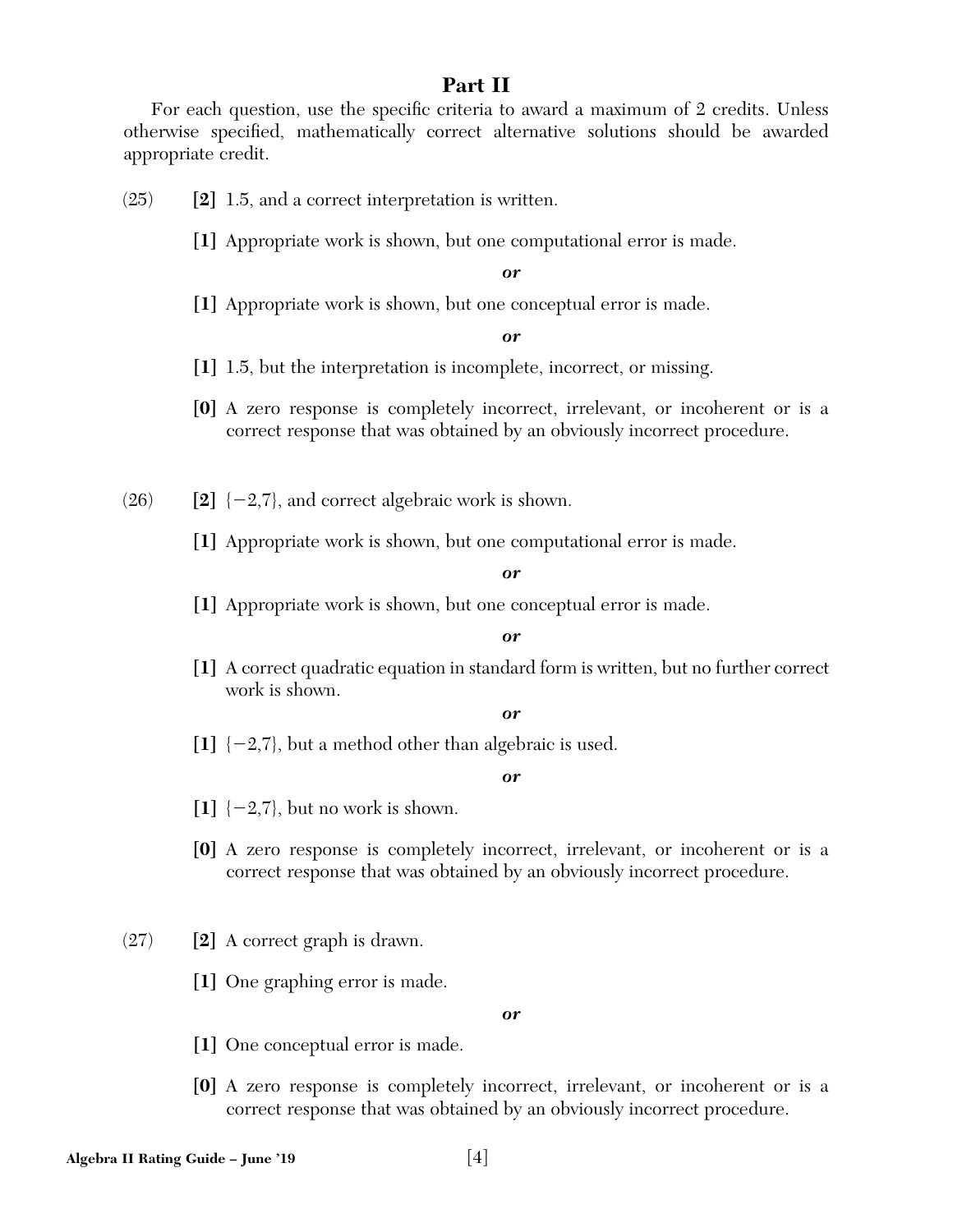# **Part II**

For each question, use the specific criteria to award a maximum of 2 credits. Unless otherwise specified, mathematically correct alternative solutions should be awarded appropriate credit.

(25) **[2]** 1.5, and a correct interpretation is written.

**[1]** Appropriate work is shown, but one computational error is made.

*or*

**[1]** Appropriate work is shown, but one conceptual error is made.

*or*

**[1]** 1.5, but the interpretation is incomplete, incorrect, or missing.

- **[0]** A zero response is completely incorrect, irrelevant, or incoherent or is a correct response that was obtained by an obviously incorrect procedure.
- $(26)$  **[2]**  $\{-2,7\}$ , and correct algebraic work is shown.
	- **[1]** Appropriate work is shown, but one computational error is made.

#### *or*

**[1]** Appropriate work is shown, but one conceptual error is made.

#### *or*

**[1]** A correct quadratic equation in standard form is written, but no further correct work is shown.

#### *or*

 $\begin{bmatrix} 1 \end{bmatrix}$   $\{-2,7\}$ , but a method other than algebraic is used.

#### *or*

- $\begin{bmatrix} 1 \end{bmatrix}$  {-2,7}, but no work is shown.
- **[0]** A zero response is completely incorrect, irrelevant, or incoherent or is a correct response that was obtained by an obviously incorrect procedure.
- (27) **[2]** A correct graph is drawn.
	- **[1]** One graphing error is made.

- **[1]** One conceptual error is made.
- **[0]** A zero response is completely incorrect, irrelevant, or incoherent or is a correct response that was obtained by an obviously incorrect procedure.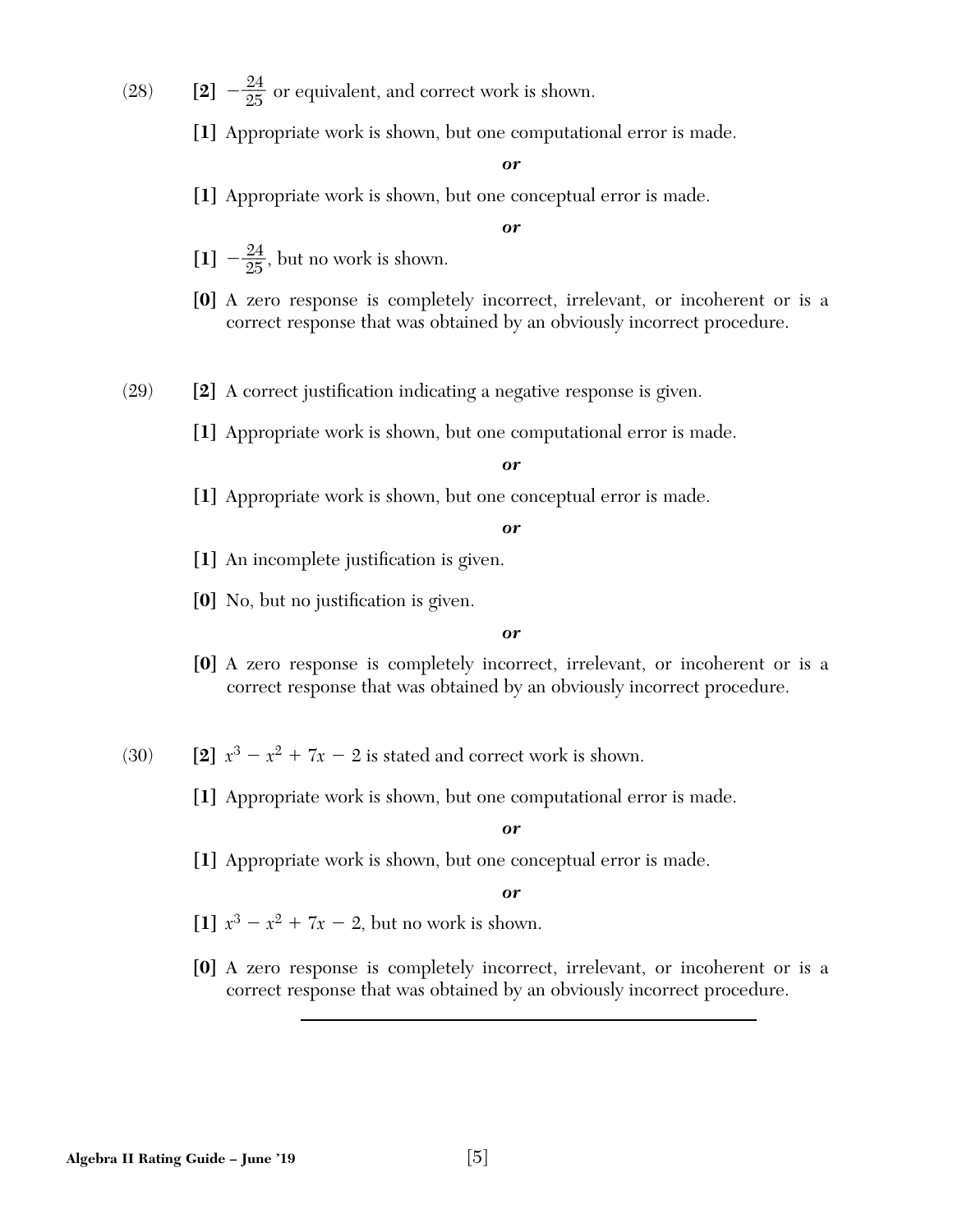(28) **[2]**  $-\frac{24}{25}$  or equivalent, and correct work is shown.

**[1]** Appropriate work is shown, but one computational error is made.

#### *or*

**[1]** Appropriate work is shown, but one conceptual error is made.

#### *or*

- $\begin{bmatrix} 1 \end{bmatrix}$   $-\frac{24}{25}$ , but no work is shown.
- **[0]** A zero response is completely incorrect, irrelevant, or incoherent or is a correct response that was obtained by an obviously incorrect procedure.
- (29) **[2]** A correct justification indicating a negative response is given.
	- **[1]** Appropriate work is shown, but one computational error is made.

#### *or*

**[1]** Appropriate work is shown, but one conceptual error is made.

*or*

- [1] An incomplete justification is given.
- [0] No, but no justification is given.

#### *or*

- **[0]** A zero response is completely incorrect, irrelevant, or incoherent or is a correct response that was obtained by an obviously incorrect procedure.
- (30) **[2]**  $x^3 x^2 + 7x 2$  is stated and correct work is shown.
	- **[1]** Appropriate work is shown, but one computational error is made.

#### *or*

**[1]** Appropriate work is shown, but one conceptual error is made.

- [1]  $x^3 x^2 + 7x 2$ , but no work is shown.
- **[0]** A zero response is completely incorrect, irrelevant, or incoherent or is a correct response that was obtained by an obviously incorrect procedure.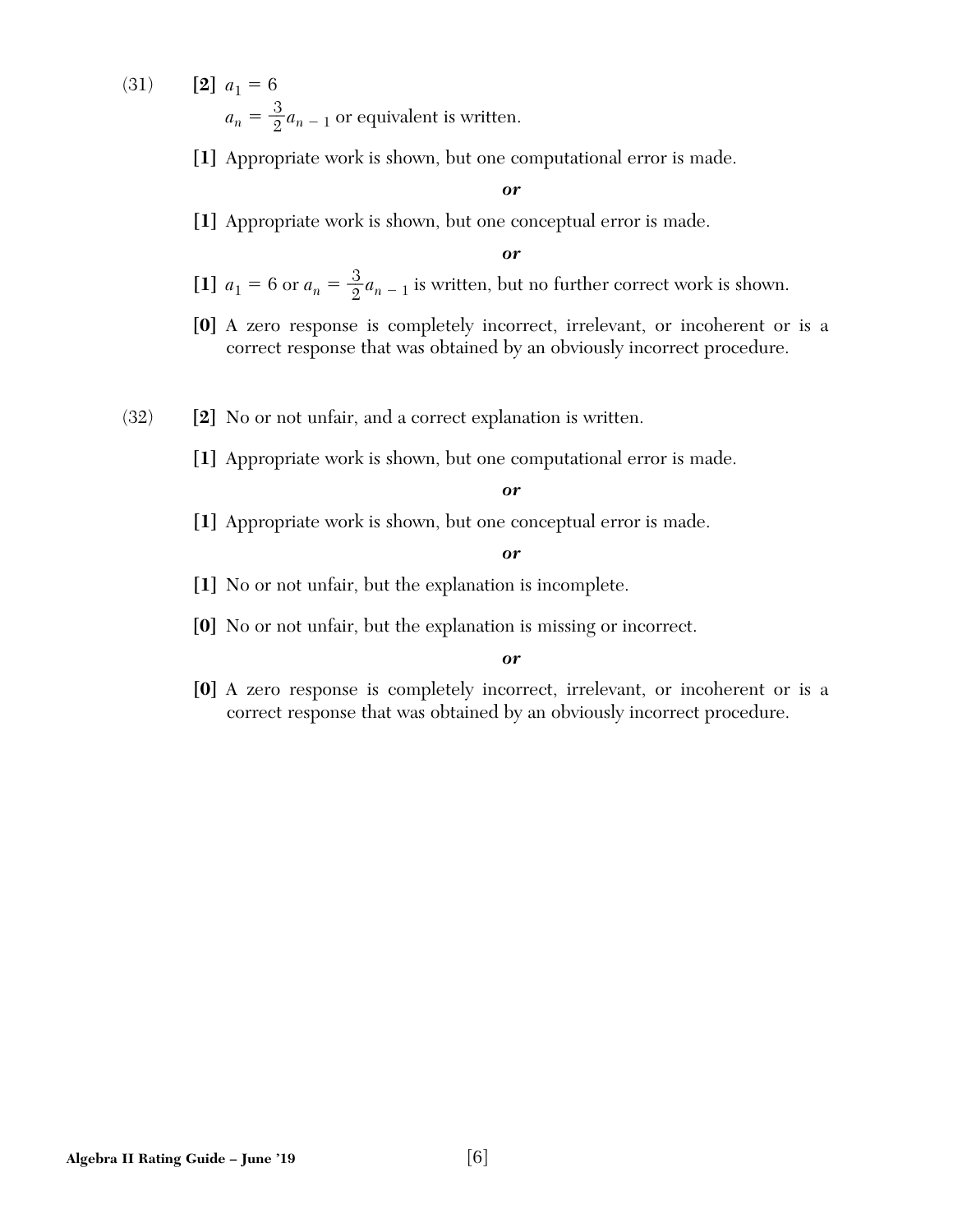(31) **[2]**  $a_1 = 6$  $a_n = \frac{3}{2} a_{n-1}$  or equivalent is written.

**[1]** Appropriate work is shown, but one computational error is made.

#### *or*

**[1]** Appropriate work is shown, but one conceptual error is made.

*or*

- [1]  $a_1 = 6$  or  $a_n = \frac{3}{2} a_{n-1}$  is written, but no further correct work is shown.
- **[0]** A zero response is completely incorrect, irrelevant, or incoherent or is a correct response that was obtained by an obviously incorrect procedure.
- (32) **[2]** No or not unfair, and a correct explanation is written.
	- **[1]** Appropriate work is shown, but one computational error is made.

#### *or*

**[1]** Appropriate work is shown, but one conceptual error is made.

#### *or*

- **[1]** No or not unfair, but the explanation is incomplete.
- **[0]** No or not unfair, but the explanation is missing or incorrect.

#### *or*

**[0]** A zero response is completely incorrect, irrelevant, or incoherent or is a correct response that was obtained by an obviously incorrect procedure.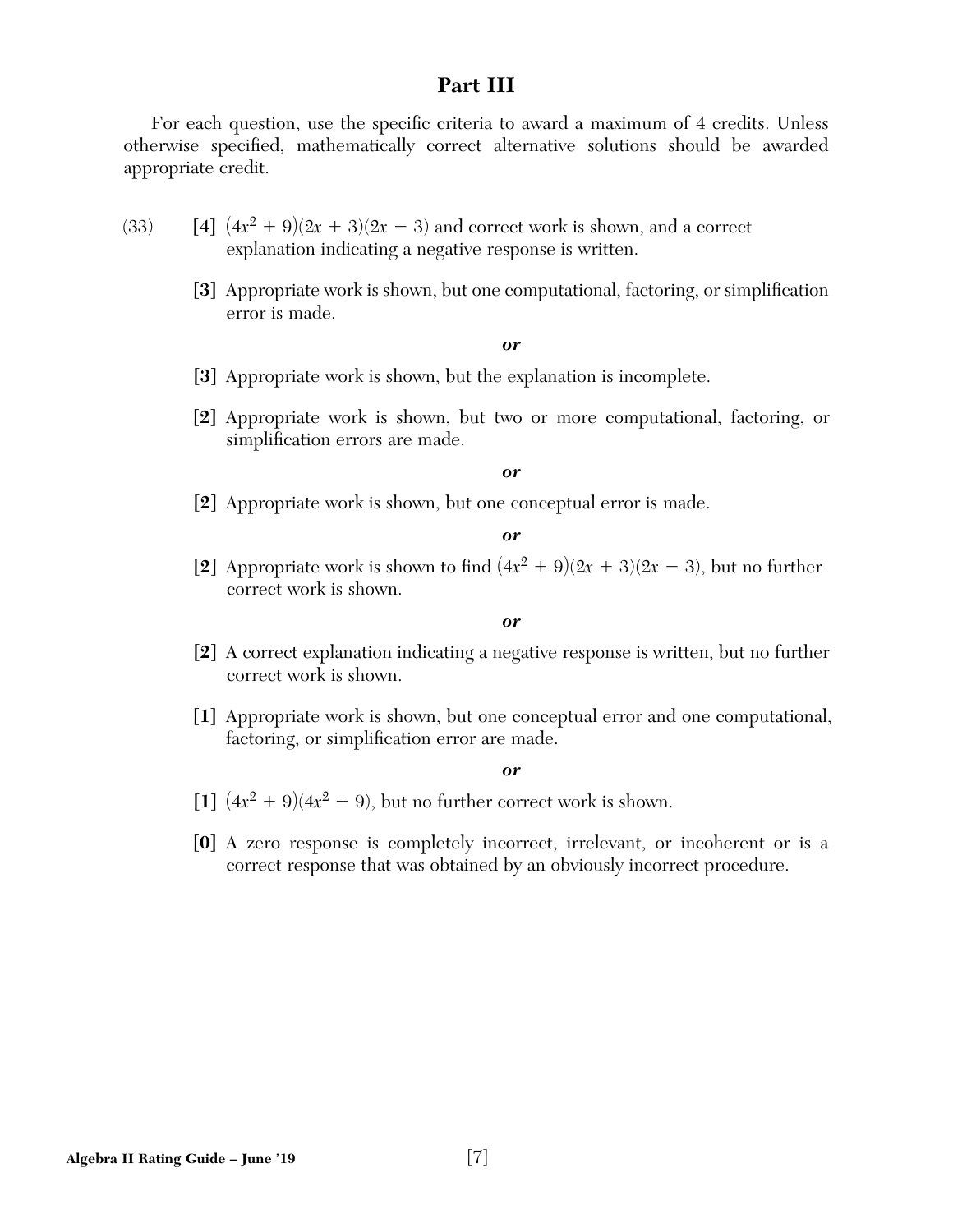# **Part III**

For each question, use the specific criteria to award a maximum of 4 credits. Unless otherwise specified, mathematically correct alternative solutions should be awarded appropriate credit.

- $(33)$  [4]  $(4x^2 + 9)(2x + 3)(2x 3)$  and correct work is shown, and a correct explanation indicating a negative response is written.
	- **[3]** Appropriate work is shown, but one computational, factoring, or simplification error is made.

#### *or*

- **[3]** Appropriate work is shown, but the explanation is incomplete.
- **[2]** Appropriate work is shown, but two or more computational, factoring, or simplification errors are made.

#### *or*

**[2]** Appropriate work is shown, but one conceptual error is made.

*or*

[2] Appropriate work is shown to find  $(4x^2 + 9)(2x + 3)(2x - 3)$ , but no further correct work is shown.

#### *or*

- **[2]** A correct explanation indicating a negative response is written, but no further correct work is shown.
- **[1]** Appropriate work is shown, but one conceptual error and one computational, factoring, or simplification error are made.

- $\left[1\right]$   $(4x^2 + 9)(4x^2 9)$ , but no further correct work is shown.
- **[0]** A zero response is completely incorrect, irrelevant, or incoherent or is a correct response that was obtained by an obviously incorrect procedure.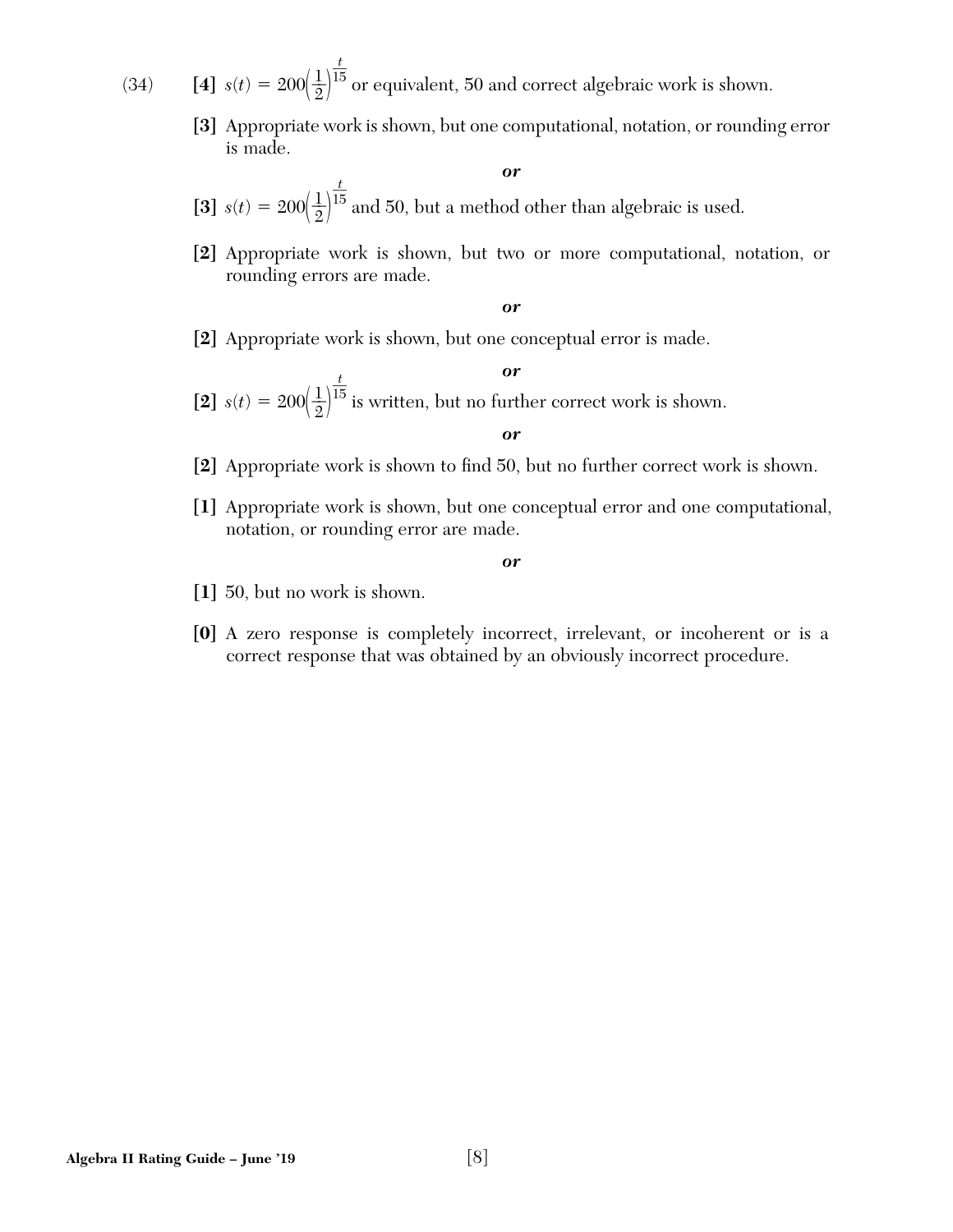(34) **[4]**  $s(t) = 200\left(\frac{1}{2}\right)^{t}$ \_\_*t*  $15$  or equivalent, 50 and correct algebraic work is shown.

> **[3]** Appropriate work is shown, but one computational, notation, or rounding error is made.

> > *or*

**[3]**  $s(t) = 200(\frac{1}{2})^{\overline{1}}$ \_\_*t*  $15$  and 50, but a method other than algebraic is used.

**[2]** Appropriate work is shown, but two or more computational, notation, or rounding errors are made.

*or*

**[2]** Appropriate work is shown, but one conceptual error is made.

*or*  $[2]$   $s(t) = 200 \left(\frac{1}{2}\right)^{t}$ \_\_*t*  $15$  is written, but no further correct work is shown.

#### *or*

- [2] Appropriate work is shown to find 50, but no further correct work is shown.
- **[1]** Appropriate work is shown, but one conceptual error and one computational, notation, or rounding error are made.

- **[1]** 50, but no work is shown.
- **[0]** A zero response is completely incorrect, irrelevant, or incoherent or is a correct response that was obtained by an obviously incorrect procedure.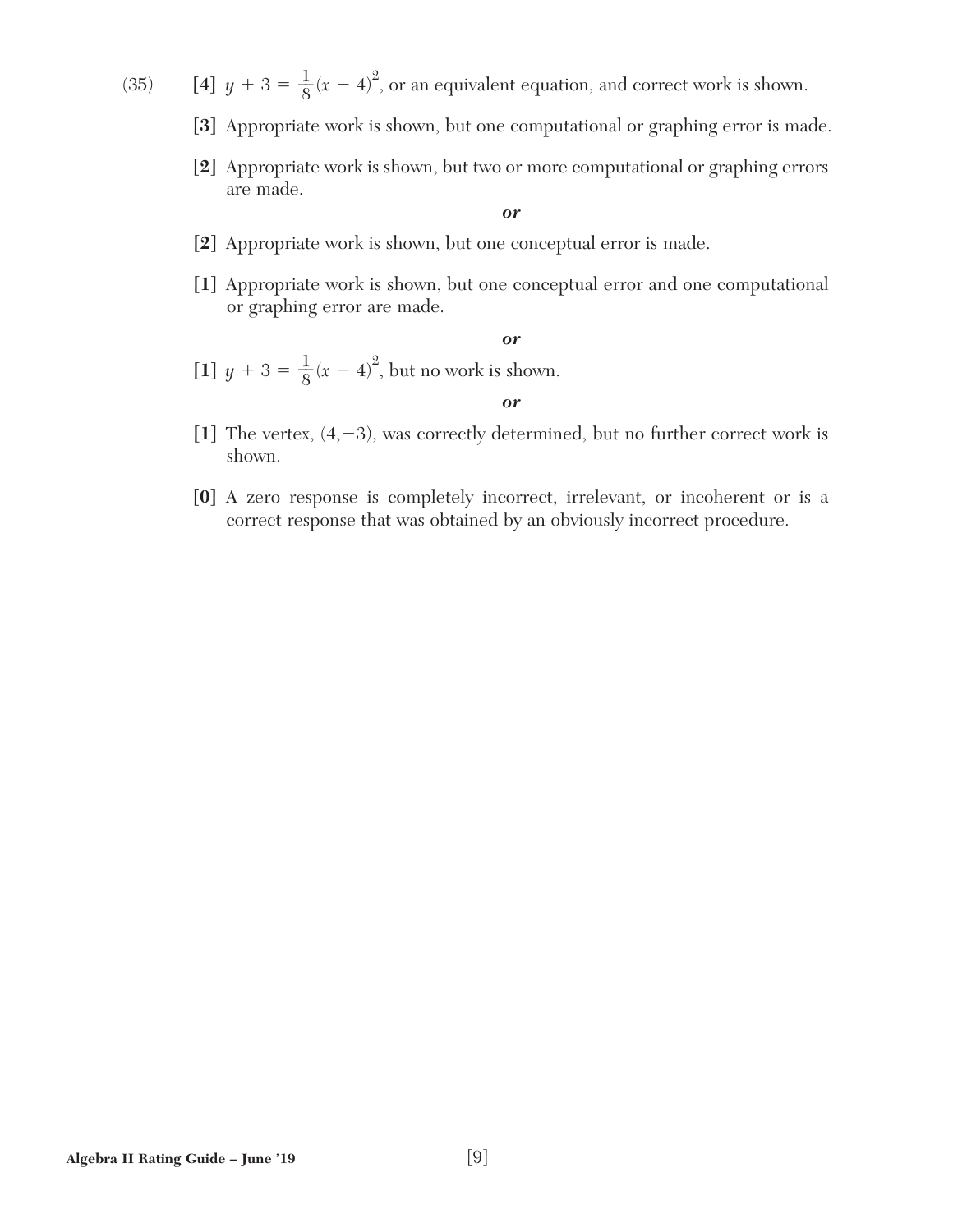- (35) **[4]**  $y + 3 = \frac{1}{8}$  $\frac{1}{8}(x-4)^2$ , or an equivalent equation, and correct work is shown.
	- **[3]** Appropriate work is shown, but one computational or graphing error is made.
	- **[2]** Appropriate work is shown, but two or more computational or graphing errors are made.

*or*

- **[2]** Appropriate work is shown, but one conceptual error is made.
- **[1]** Appropriate work is shown, but one conceptual error and one computational or graphing error are made.

*or*

- $[1]$   $y + 3 = \frac{1}{8}$  $\frac{1}{8}(x-4)^2$ , but no work is shown.
- $[1]$  The vertex,  $(4, -3)$ , was correctly determined, but no further correct work is shown.

*or*

**[0]** A zero response is completely incorrect, irrelevant, or incoherent or is a correct response that was obtained by an obviously incorrect procedure.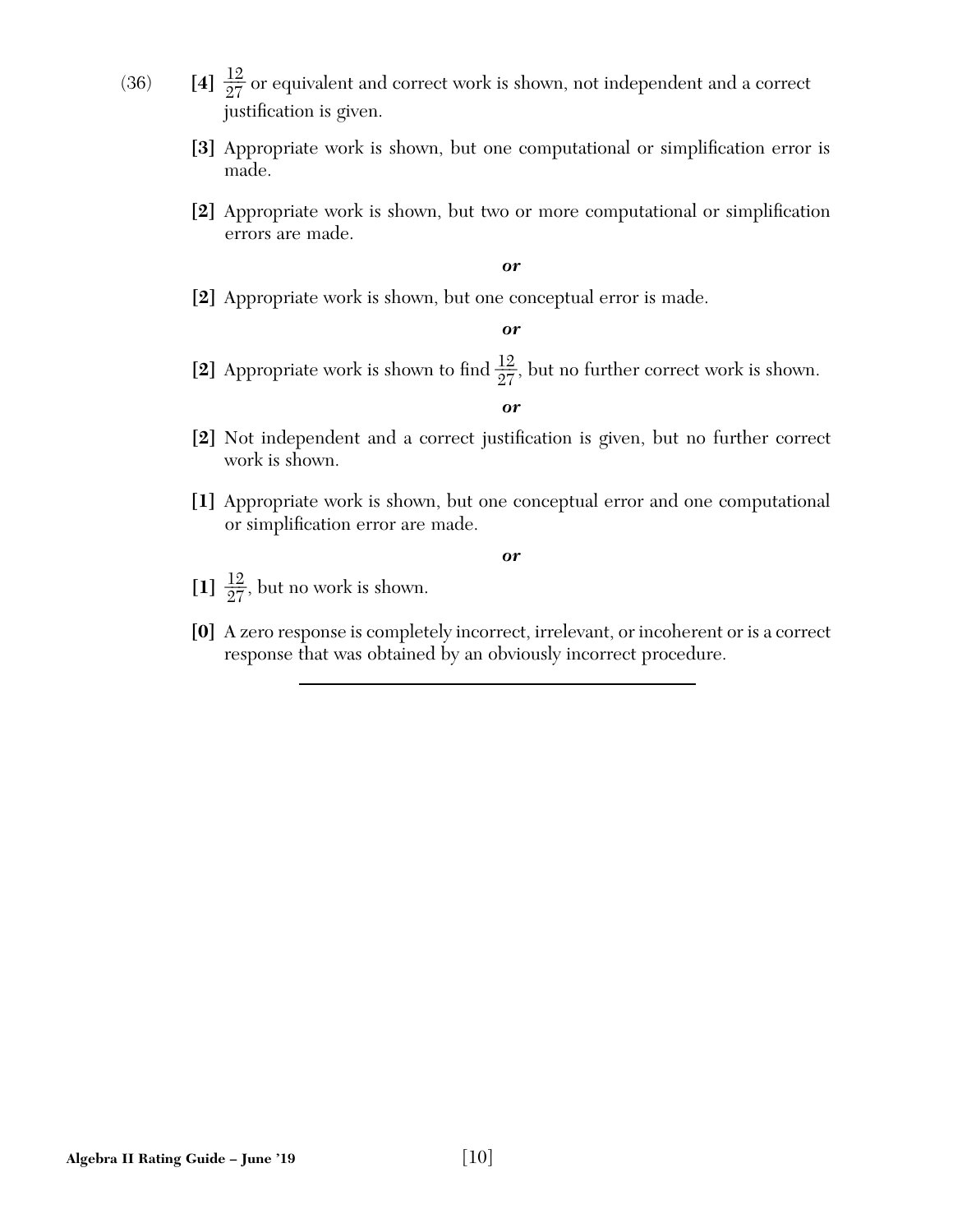- (36) **[4]**  $\frac{12}{27}$  or equivalent and correct work is shown, not independent and a correct justification is given.
	- [3] Appropriate work is shown, but one computational or simplification error is made.
	- [2] Appropriate work is shown, but two or more computational or simplification errors are made.

*or*

**[2]** Appropriate work is shown, but one conceptual error is made.

*or*

[2] Appropriate work is shown to find  $\frac{12}{27}$ , but no further correct work is shown.

*or*

- [2] Not independent and a correct justification is given, but no further correct work is shown.
- **[1]** Appropriate work is shown, but one conceptual error and one computational or simplification error are made.

- [1]  $\frac{12}{27}$ , but no work is shown.
- **[0]** A zero response is completely incorrect, irrelevant, or incoherent or is a correct response that was obtained by an obviously incorrect procedure.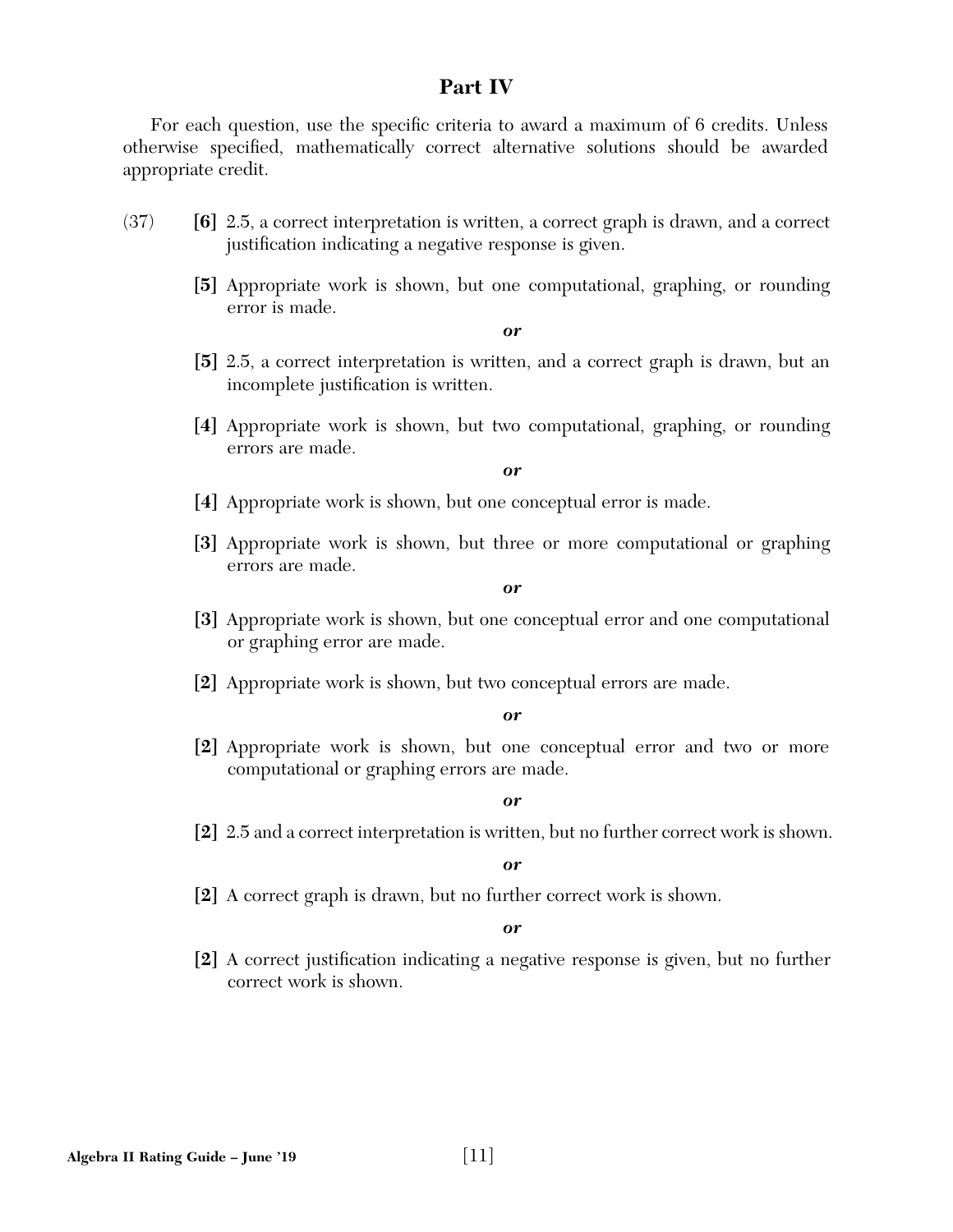## **Part IV**

For each question, use the specific criteria to award a maximum of 6 credits. Unless otherwise specified, mathematically correct alternative solutions should be awarded appropriate credit.

- (37) **[6]** 2.5, a correct interpretation is written, a correct graph is drawn, and a correct justification indicating a negative response is given.
	- **[5]** Appropriate work is shown, but one computational, graphing, or rounding error is made.

*or*

- **[5]** 2.5, a correct interpretation is written, and a correct graph is drawn, but an incomplete justification is written.
- **[4]** Appropriate work is shown, but two computational, graphing, or rounding errors are made.

*or*

- **[4]** Appropriate work is shown, but one conceptual error is made.
- **[3]** Appropriate work is shown, but three or more computational or graphing errors are made.

*or*

- **[3]** Appropriate work is shown, but one conceptual error and one computational or graphing error are made.
- **[2]** Appropriate work is shown, but two conceptual errors are made.

#### *or*

**[2]** Appropriate work is shown, but one conceptual error and two or more computational or graphing errors are made.

#### *or*

**[2]** 2.5 and a correct interpretation is written, but no further correct work is shown.

#### *or*

**[2]** A correct graph is drawn, but no further correct work is shown.

#### *or*

**[2]** A correct justification indicating a negative response is given, but no further correct work is shown.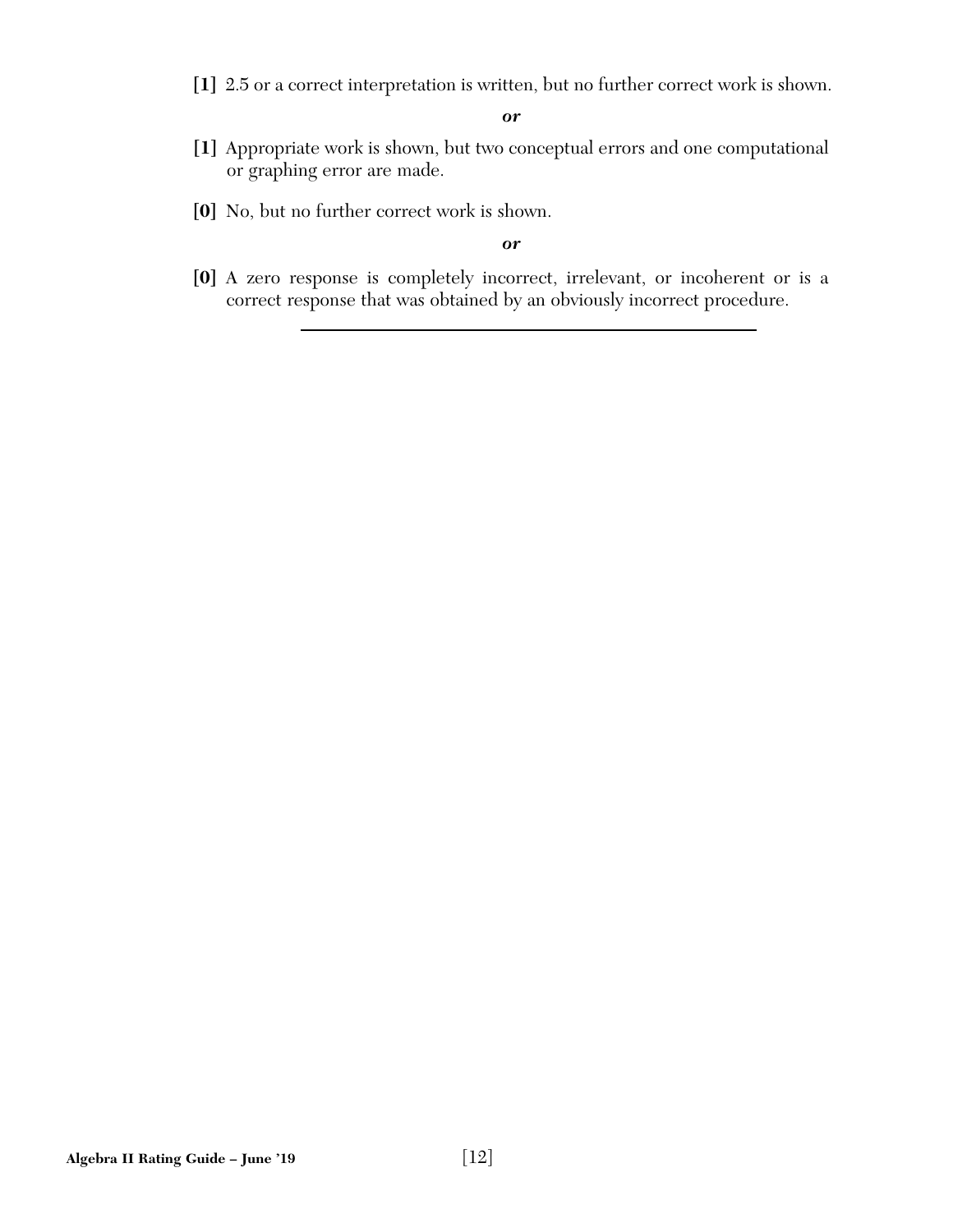**[1]** 2.5 or a correct interpretation is written, but no further correct work is shown.

*or*

- **[1]** Appropriate work is shown, but two conceptual errors and one computational or graphing error are made.
- **[0]** No, but no further correct work is shown.

*or*

**[0]** A zero response is completely incorrect, irrelevant, or incoherent or is a correct response that was obtained by an obviously incorrect procedure.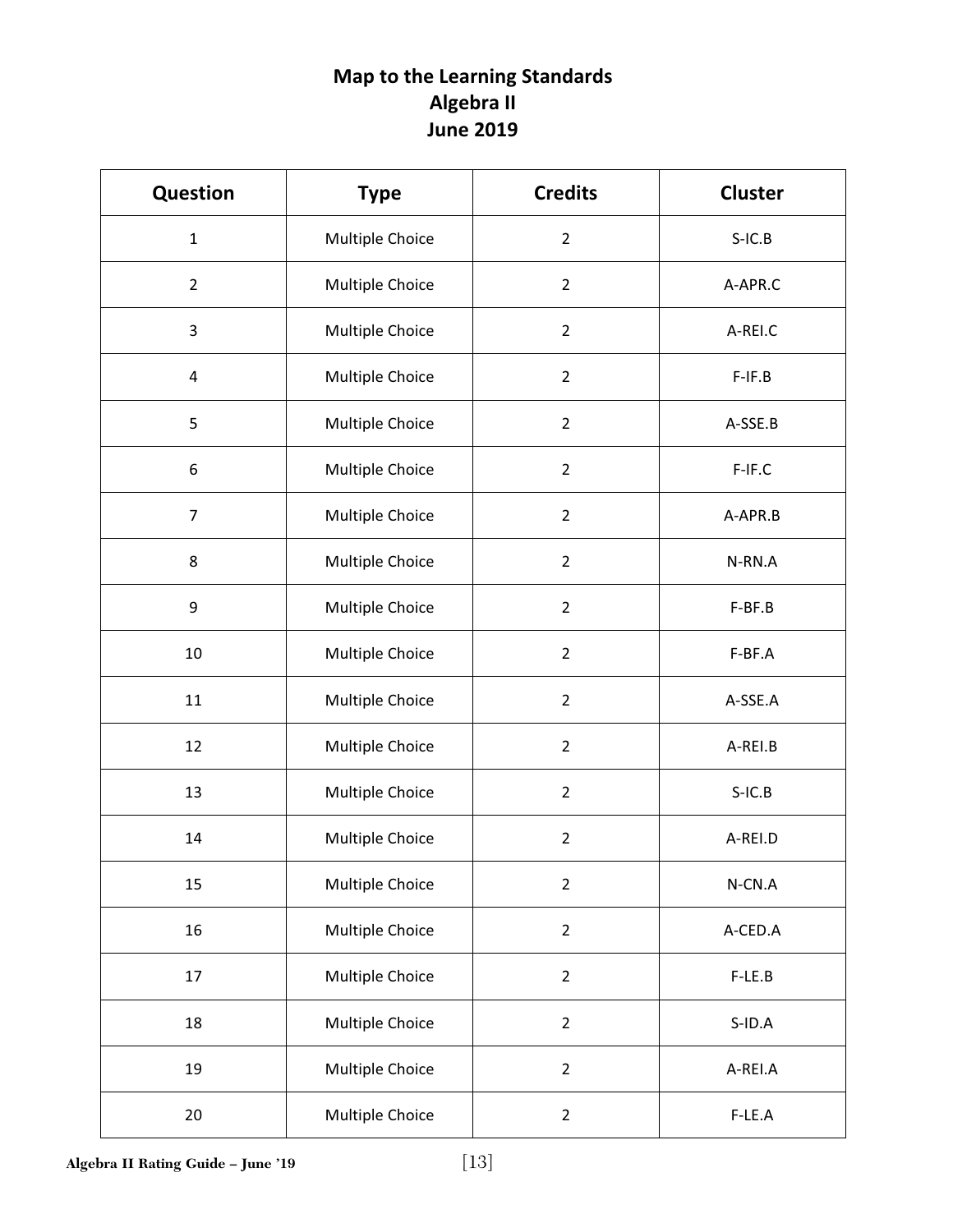# **Map to the Learning Standards Algebra II June 2019**

| <b>Question</b> | <b>Type</b>     |                | <b>Cluster</b> |  |
|-----------------|-----------------|----------------|----------------|--|
| $\mathbf{1}$    | Multiple Choice | $\overline{2}$ | $S-IC.B$       |  |
| $\overline{2}$  | Multiple Choice | $\overline{2}$ | A-APR.C        |  |
| 3               | Multiple Choice | $\overline{2}$ | A-REI.C        |  |
| 4               | Multiple Choice | $\overline{2}$ | $F-IF.B$       |  |
| 5               | Multiple Choice | $\overline{2}$ | A-SSE.B        |  |
| $\,6$           | Multiple Choice | $\overline{2}$ | F-IF.C         |  |
| $\overline{7}$  | Multiple Choice | $\overline{2}$ | A-APR.B        |  |
| 8               | Multiple Choice | $\overline{2}$ | N-RN.A         |  |
| 9               | Multiple Choice | $\overline{2}$ | F-BF.B         |  |
| $10\,$          | Multiple Choice | $\overline{2}$ | F-BF.A         |  |
| 11              | Multiple Choice | $\overline{2}$ | A-SSE.A        |  |
| 12              | Multiple Choice | $\overline{2}$ | A-REI.B        |  |
| 13              | Multiple Choice | $\overline{2}$ | $S-IC.B$       |  |
| 14              | Multiple Choice | $\overline{2}$ | A-REI.D        |  |
| 15              | Multiple Choice | $\overline{2}$ | N-CN.A         |  |
| 16              | Multiple Choice | $\overline{2}$ | A-CED.A        |  |
| 17              | Multiple Choice | $\overline{2}$ | F-LE.B         |  |
| 18              | Multiple Choice | $\overline{2}$ | $S$ -ID.A      |  |
| 19              | Multiple Choice | $\overline{2}$ | A-REI.A        |  |
| 20              | Multiple Choice | $\overline{2}$ | F-LE.A         |  |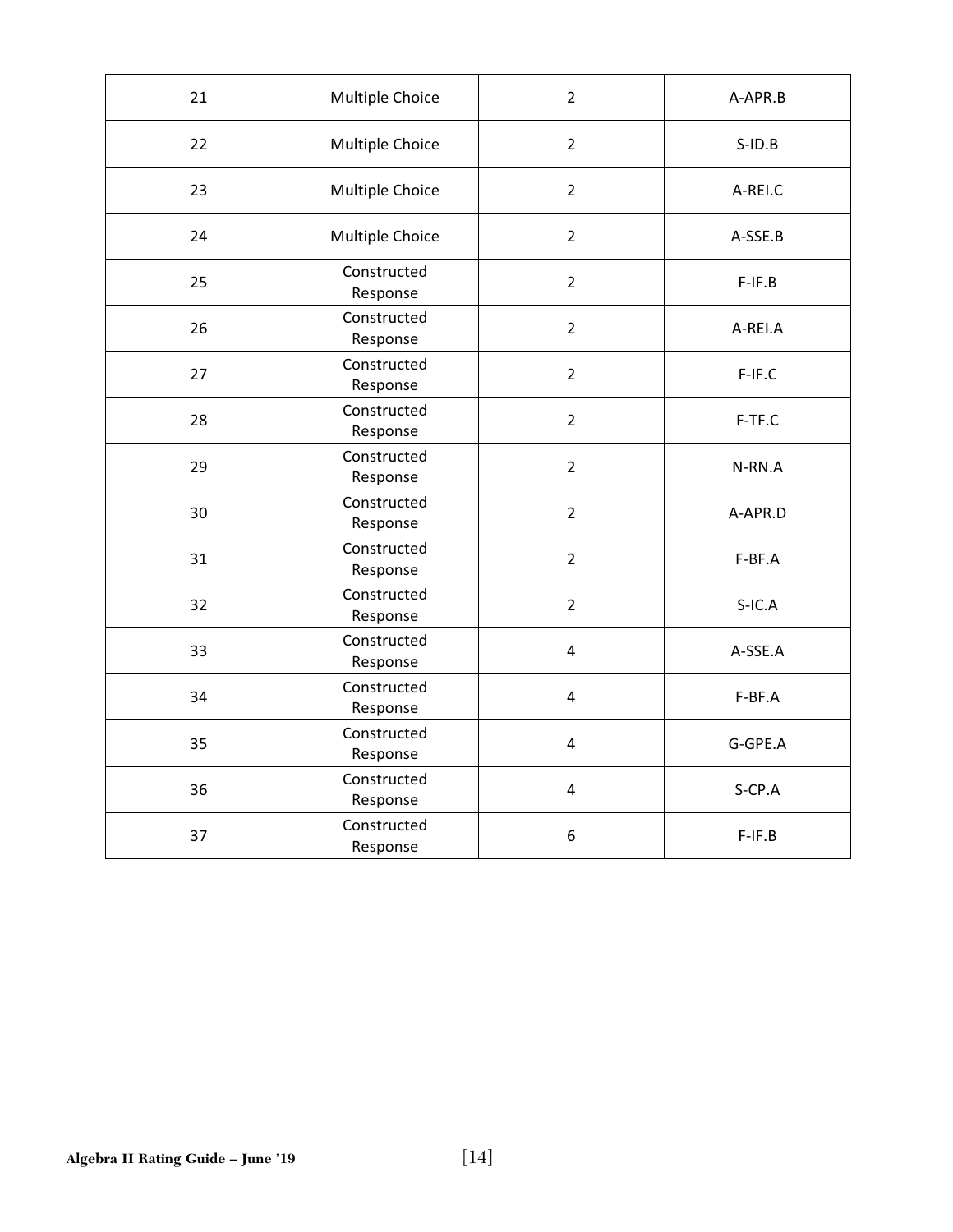| 21 | Multiple Choice         | $\overline{2}$          | A-APR.B   |  |
|----|-------------------------|-------------------------|-----------|--|
| 22 | Multiple Choice         | $\overline{2}$          | $S$ -ID.B |  |
| 23 | Multiple Choice         | $\overline{2}$          | A-REI.C   |  |
| 24 | Multiple Choice         | $\overline{2}$          | A-SSE.B   |  |
| 25 | Constructed<br>Response | $\overline{2}$          | $F-IF.B$  |  |
| 26 | Constructed<br>Response | $\overline{2}$          | A-REI.A   |  |
| 27 | Constructed<br>Response | $\overline{2}$          | F-IF.C    |  |
| 28 | Constructed<br>Response | $\overline{2}$          | F-TF.C    |  |
| 29 | Constructed<br>Response | $\overline{2}$          | N-RN.A    |  |
| 30 | Constructed<br>Response | $\overline{2}$          | A-APR.D   |  |
| 31 | Constructed<br>Response | $\overline{2}$          | F-BF.A    |  |
| 32 | Constructed<br>Response | $\overline{2}$          | $S-IC.A$  |  |
| 33 | Constructed<br>Response | $\overline{\mathbf{4}}$ | A-SSE.A   |  |
| 34 | Constructed<br>Response | 4                       | F-BF.A    |  |
| 35 | Constructed<br>Response | $\overline{\mathbf{4}}$ | G-GPE.A   |  |
| 36 | Constructed<br>Response | 4                       | S-CP.A    |  |
| 37 | Constructed<br>Response |                         | $F-IF.B$  |  |